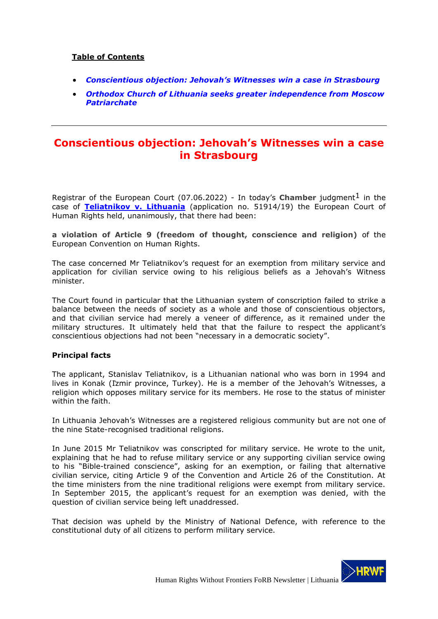### **Table of Contents**

- *Conscientious objection: Jehovah's Witness[es win a case in Strasbourg](#page-0-0)*
- *[Orthodox Church of Lithuania seeks greater independence from Moscow](#page-2-0)  [Patriarchate](#page-2-0)*

## <span id="page-0-0"></span>**Conscientious objection: Jehovah's Witnesses win a case in Strasbourg**

Registrar of the European Court (07.06.2022) - In today's **Chamber** judgment<sup>1</sup> in the case of **[Teliatnikov v. Lithuania](https://hudoc.echr.coe.int/eng#%7B%22itemid%22:%5B%22001-217607%22%5D%7D)** (application no. 51914/19) the European Court of Human Rights held, unanimously, that there had been:

**a violation of Article 9 (freedom of thought, conscience and religion)** of the European Convention on Human Rights.

The case concerned Mr Teliatnikov's request for an exemption from military service and application for civilian service owing to his religious beliefs as a Jehovah's Witness minister.

The Court found in particular that the Lithuanian system of conscription failed to strike a balance between the needs of society as a whole and those of conscientious objectors, and that civilian service had merely a veneer of difference, as it remained under the military structures. It ultimately held that that the failure to respect the applicant's conscientious objections had not been "necessary in a democratic society".

#### **Principal facts**

The applicant, Stanislav Teliatnikov, is a Lithuanian national who was born in 1994 and lives in Konak (İzmir province, Turkey). He is a member of the Jehovah's Witnesses, a religion which opposes military service for its members. He rose to the status of minister within the faith.

In Lithuania Jehovah's Witnesses are a registered religious community but are not one of the nine State-recognised traditional religions.

In June 2015 Mr Teliatnikov was conscripted for military service. He wrote to the unit, explaining that he had to refuse military service or any supporting civilian service owing to his "Bible-trained conscience", asking for an exemption, or failing that alternative civilian service, citing Article 9 of the Convention and Article 26 of the Constitution. At the time ministers from the nine traditional religions were exempt from military service. In September 2015, the applicant's request for an exemption was denied, with the question of civilian service being left unaddressed.

That decision was upheld by the Ministry of National Defence, with reference to the constitutional duty of all citizens to perform military service.

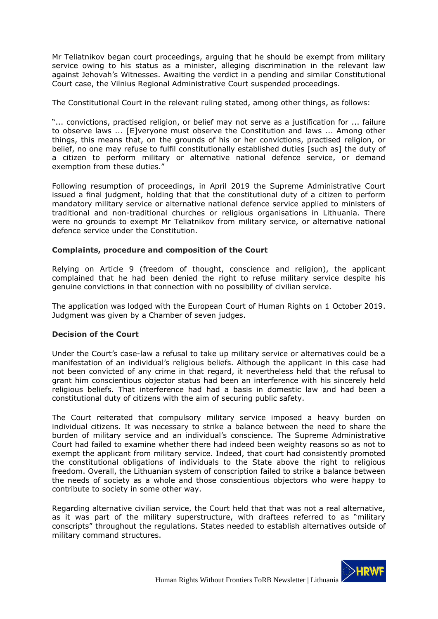Mr Teliatnikov began court proceedings, arguing that he should be exempt from military service owing to his status as a minister, alleging discrimination in the relevant law against Jehovah's Witnesses. Awaiting the verdict in a pending and similar Constitutional Court case, the Vilnius Regional Administrative Court suspended proceedings.

The Constitutional Court in the relevant ruling stated, among other things, as follows:

"... convictions, practised religion, or belief may not serve as a justification for ... failure to observe laws ... [E]veryone must observe the Constitution and laws ... Among other things, this means that, on the grounds of his or her convictions, practised religion, or belief, no one may refuse to fulfil constitutionally established duties [such as] the duty of a citizen to perform military or alternative national defence service, or demand exemption from these duties."

Following resumption of proceedings, in April 2019 the Supreme Administrative Court issued a final judgment, holding that that the constitutional duty of a citizen to perform mandatory military service or alternative national defence service applied to ministers of traditional and non-traditional churches or religious organisations in Lithuania. There were no grounds to exempt Mr Teliatnikov from military service, or alternative national defence service under the Constitution.

#### **Complaints, procedure and composition of the Court**

Relying on Article 9 (freedom of thought, conscience and religion), the applicant complained that he had been denied the right to refuse military service despite his genuine convictions in that connection with no possibility of civilian service.

The application was lodged with the European Court of Human Rights on 1 October 2019. Judgment was given by a Chamber of seven judges.

#### **Decision of the Court**

Under the Court's case-law a refusal to take up military service or alternatives could be a manifestation of an individual's religious beliefs. Although the applicant in this case had not been convicted of any crime in that regard, it nevertheless held that the refusal to grant him conscientious objector status had been an interference with his sincerely held religious beliefs. That interference had had a basis in domestic law and had been a constitutional duty of citizens with the aim of securing public safety.

The Court reiterated that compulsory military service imposed a heavy burden on individual citizens. It was necessary to strike a balance between the need to share the burden of military service and an individual's conscience. The Supreme Administrative Court had failed to examine whether there had indeed been weighty reasons so as not to exempt the applicant from military service. Indeed, that court had consistently promoted the constitutional obligations of individuals to the State above the right to religious freedom. Overall, the Lithuanian system of conscription failed to strike a balance between the needs of society as a whole and those conscientious objectors who were happy to contribute to society in some other way.

Regarding alternative civilian service, the Court held that that was not a real alternative, as it was part of the military superstructure, with draftees referred to as "military conscripts" throughout the regulations. States needed to establish alternatives outside of military command structures.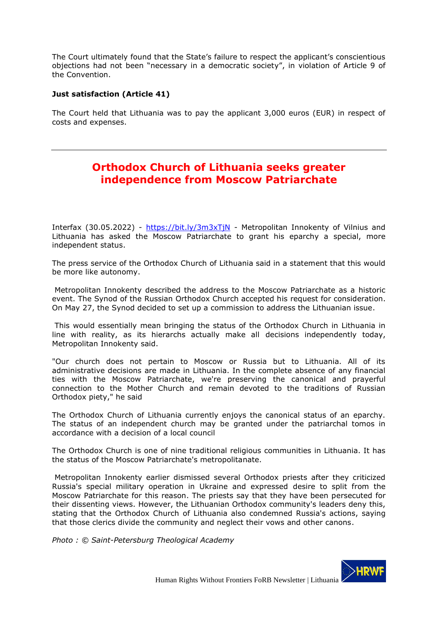The Court ultimately found that the State's failure to respect the applicant's conscientious objections had not been "necessary in a democratic society", in violation of Article 9 of the Convention.

#### **Just satisfaction (Article 41)**

The Court held that Lithuania was to pay the applicant 3,000 euros (EUR) in respect of costs and expenses.

# <span id="page-2-0"></span>**Orthodox Church of Lithuania seeks greater independence from Moscow Patriarchate**

Interfax (30.05.2022) - https://bit.ly/3m3xTjN - Metropolitan Innokenty of Vilnius and Lithuania has asked the Moscow Patriarchate to grant his eparchy a special, more independent status.

The press service of the Orthodox Church of Lithuania said in a statement that this would be more like autonomy.

Metropolitan Innokenty described the address to the Moscow Patriarchate as a historic event. The Synod of the Russian Orthodox Church accepted his request for consideration. On May 27, the Synod decided to set up a commission to address the Lithuanian issue.

This would essentially mean bringing the status of the Orthodox Church in Lithuania in line with reality, as its hierarchs actually make all decisions independently today, Metropolitan Innokenty said.

"Our church does not pertain to Moscow or Russia but to Lithuania. All of its administrative decisions are made in Lithuania. In the complete absence of any financial ties with the Moscow Patriarchate, we're preserving the canonical and prayerful connection to the Mother Church and remain devoted to the traditions of Russian Orthodox piety," he said

The Orthodox Church of Lithuania currently enjoys the canonical status of an eparchy. The status of an independent church may be granted under the patriarchal tomos in accordance with a decision of a local council

The Orthodox Church is one of nine traditional religious communities in Lithuania. It has the status of the Moscow Patriarchate's metropolitanate.

Metropolitan Innokenty earlier dismissed several Orthodox priests after they criticized Russia's special military operation in Ukraine and expressed desire to split from the Moscow Patriarchate for this reason. The priests say that they have been persecuted for their dissenting views. However, the Lithuanian Orthodox community's leaders deny this, stating that the Orthodox Church of Lithuania also condemned Russia's actions, saying that those clerics divide the community and neglect their vows and other canons.

*Photo : © Saint-Petersburg Theological Academy*